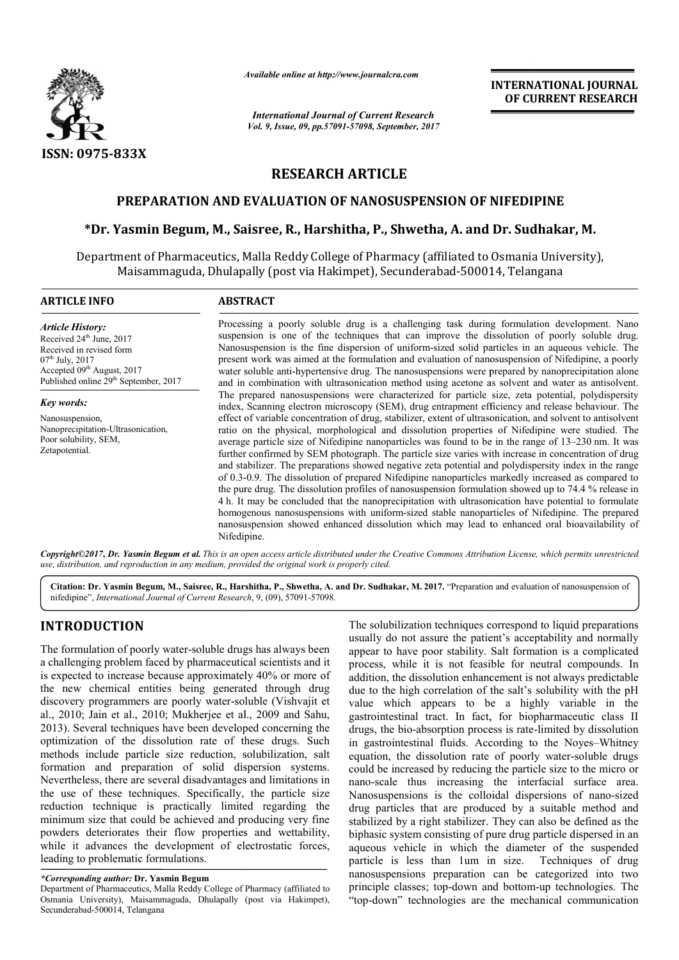

*Available online at http://www.journal http://www.journalcra.com*

*International Journal of Current Research Vol. 9, Issue, 09, pp.57091-57098, September, 2017* **INTERNATIONAL JOURNAL OF CURRENT RESEARCH** 

# **RESEARCH ARTICLE**

# **PREPARATION AND EVALUATION OF NANOSUSPENSION OF NIFEDIPINE**

# **\*Dr. Yasmin Begum, M., Saisree, R. R., Harshitha, P., Shwetha, A. and EVALUATION OF OF NIFEDIPINEDr. Sudhakar, M.**

Department of Pharmaceutics, Malla Reddy College of Pharmacy (affiliated to Osmania University), nent of Pharmaceutics, Malla Reddy College of Pharmacy (affiliated to Osmania Univ<br>Maisammaguda, Dhulapally (post via Hakimpet), Secunderabad-500014, Telangana

| <b>ARTICLE INFO</b>                                                                                                                                                                                             | <b>ABSTRACT</b>                                                                                                                                                                                                                                                                                                                                                                                                                                                                                                                                                                                                                                                                                                                                                                                                                                                                                                                                                                                                                                                                |
|-----------------------------------------------------------------------------------------------------------------------------------------------------------------------------------------------------------------|--------------------------------------------------------------------------------------------------------------------------------------------------------------------------------------------------------------------------------------------------------------------------------------------------------------------------------------------------------------------------------------------------------------------------------------------------------------------------------------------------------------------------------------------------------------------------------------------------------------------------------------------------------------------------------------------------------------------------------------------------------------------------------------------------------------------------------------------------------------------------------------------------------------------------------------------------------------------------------------------------------------------------------------------------------------------------------|
| <b>Article History:</b><br>Received 24 <sup>th</sup> June, 2017<br>Received in revised form<br>$07th$ July, 2017<br>Accepted 09 <sup>th</sup> August, 2017<br>Published online 29 <sup>th</sup> September, 2017 | Processing a poorly soluble drug is a challenging task during formulation development. Nano<br>suspension is one of the techniques that can improve the dissolution of poorly soluble drug.<br>Nanosuspension is the fine dispersion of uniform-sized solid particles in an aqueous vehicle. The<br>present work was aimed at the formulation and evaluation of nanosuspension of Nifedipine, a poorly<br>water soluble anti-hypertensive drug. The nanosuspensions were prepared by nanoprecipitation alone<br>and in combination with ultrasonication method using acetone as solvent and water as antisolvent.                                                                                                                                                                                                                                                                                                                                                                                                                                                              |
| Key words:                                                                                                                                                                                                      | The prepared nanosuspensions were characterized for particle size, zeta potential, polydispersity<br>index, Scanning electron microscopy (SEM), drug entrapment efficiency and release behaviour. The                                                                                                                                                                                                                                                                                                                                                                                                                                                                                                                                                                                                                                                                                                                                                                                                                                                                          |
| Nanosuspension,<br>Nanoprecipitation-Ultrasonication,<br>Poor solubility, SEM,<br>Zetapotential.                                                                                                                | effect of variable concentration of drug, stabilizer, extent of ultrasonication, and solvent to antisolvent<br>ratio on the physical, morphological and dissolution properties of Nifedipine were studied. The<br>average particle size of Nifedipine nanoparticles was found to be in the range of 13–230 nm. It was<br>further confirmed by SEM photograph. The particle size varies with increase in concentration of drug<br>and stabilizer. The preparations showed negative zeta potential and polydispersity index in the range<br>of 0.3-0.9. The dissolution of prepared Nifedipine nanoparticles markedly increased as compared to<br>the pure drug. The dissolution profiles of nanosuspension formulation showed up to 74.4 % release in<br>4 h. It may be concluded that the nanoprecipitation with ultrasonication have potential to formulate<br>homogenous nanosuspensions with uniform-sized stable nanoparticles of Nifedipine. The prepared<br>nanosuspension showed enhanced dissolution which may lead to enhanced oral bioavailability of<br>Nifedipine. |

*Copyright©2017***,** *Dr. Yasmin Begum et al. This is an open access article distributed under the Creative Commons Att Attribution License, which ribution License, permits unrestricted use, distribution, and reproduction in any medium, provided the original work is properly cited.*

Citation: Dr. Yasmin Begum, M., Saisree, R., Harshitha, P., Shwetha, A. and Dr. Sudhakar, M. 2017. "Preparation and evaluation of nanosuspension of nifedipine", *International Journal of Current Research* , 9, (09), 57091-57098.

# **INTRODUCTION**

The formulation of poorly water-soluble drugs has always been a challenging problem faced by pharmaceutical scientists and it is expected to increase because approximately 40% or more of the new chemical entities being generated through drug The formulation of poorly water-soluble drugs has always been<br>a challenging problem faced by pharmaceutical scientists and it<br>is expected to increase because approximately 40% or more of<br>the new chemical entities being gen al., 2010; Jain et al., 2010; Mukherjee et al., 2009 and Sahu, 2013). Several techniques have been developed concerning the optimization of the dissolution rate of these drugs. Such methods include particle size reduction, solubilization, salt formation and preparation of solid dispersion systems. Nevertheless, there are several disadvantages and limitations in the use of these techniques. Specifically, the particle size reduction technique is practically limited regarding the minimum size that could be achieved and producing very fine powders deteriorates their flow properties and wettability, while it advances the development of electrostatic forces, leading to problematic formulations. **RODUCTION**<br>
The solubilization techniques correspond<br>
usually do not assure the patient's acce<br>
lenging problem faced by pharmaceutical scientists and it<br>
process, while it is not feasible for n<br>
ected to increase because

usually do not assure the patient's acceptability and normally appear to have poor stability. Salt formation is a complicated process, while it is not feasible for neutral compounds. In addition, the dissolution enhancement is not always predictable due to the high correlation of the salt's solubility with the pH value which appears to be a highly variable in the gastrointestinal tract. In fact, for biopharmaceutic class II drugs, the bio-absorption process is rate-limited by dissolution in gastrointestinal fluids. According to the Noyes-Whitney equation, the dissolution rate of poorly water-soluble drugs could be increased by reducing the particle size to the micro or nano-scale thus increasing the interfacial surface area. could be increased by reducing the particle size to the micro or<br>nano-scale thus increasing the interfacial surface area.<br>Nanosuspensions is the colloidal dispersions of nano-sized drug particles that are produced by a suitable method and stabilized by a right stabilizer. They can also be defined as the biphasic system consisting of pure drug particle dispersed in an aqueous vehicle in which the diameter of the suspended particle is less than 1um in size. nanosuspensions preparation can be categorized into two nanosuspensions preparation can be categorized into two<br>principle classes; top-down and bottom-up technologies. The "top-down" technologies are the mechanical communication The solubilization techniques correspond to liquid preparations do not assure the patient's acceptability and normally<br>to have poor stability. Salt formation is a complicated<br>while it is not feasible for neutral compounds. In<br>t, the dissolution enhancement is not always predictable high correlation of the salt's solubility with the pH<br>ich appears to be a highly variable in the<br>tinal tract. In fact, for biopharmaceutic class II<br>bio-absorption process is rate-limited by dissolution drug particles that are produced by a suitable method and stabilized by a right stabilizer. They can also be defined as the biphasic system consisting of pure drug particle dispersed in an aqueous vehicle in which the diam

*<sup>\*</sup>Corresponding author:* **Dr. Yasmin Begum**

Department of Pharmaceutics, Malla Reddy College of Pharmacy (affiliated to Osmania University), Maisammaguda, Dhulapally (post via Hakimpet), Secunderabad-500014, Telangana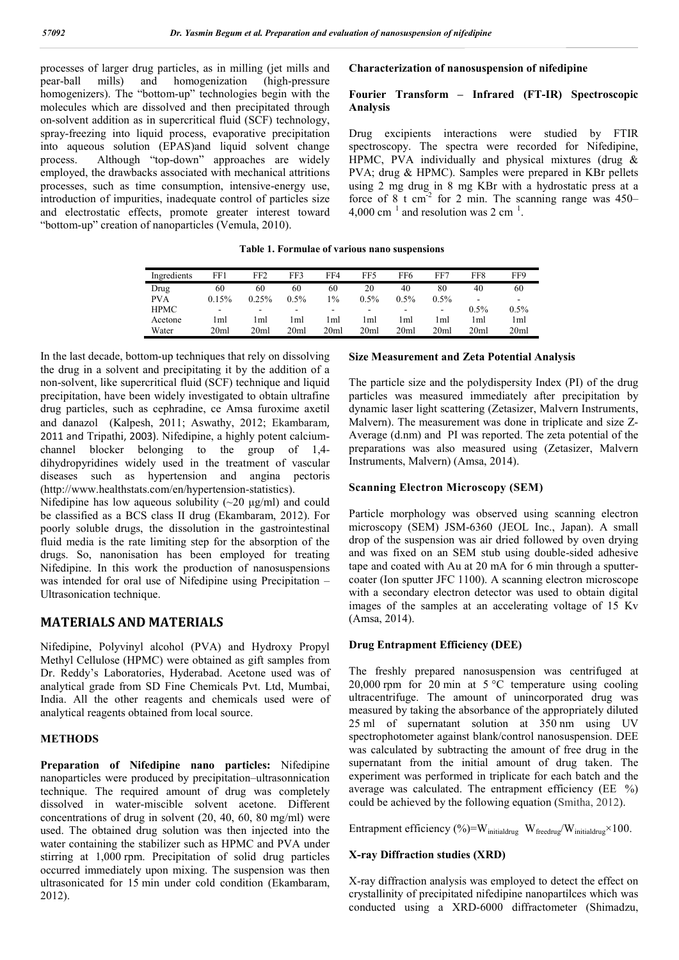processes of larger drug particles, as in milling (jet mills and pear-ball mills) and homogenization (high-pressure pear-ball mills) and homogenization (high-pressure homogenizers). The "bottom-up" technologies begin with the molecules which are dissolved and then precipitated through on-solvent addition as in supercritical fluid (SCF) technology, spray-freezing into liquid process, evaporative precipitation into aqueous solution (EPAS)and liquid solvent change process. Although "top-down" approaches are widely employed, the drawbacks associated with mechanical attritions processes, such as time consumption, intensive-energy use, introduction of impurities, inadequate control of particles size and electrostatic effects, promote greater interest toward "bottom-up" creation of nanoparticles (Vemula, 2010).

# **Characterization of nanosuspension of nifedipine**

## **Fourier Transform – Infrared (FT-IR) Spectroscopic Analysis**

Drug excipients interactions were studied by FTIR spectroscopy. The spectra were recorded for Nifedipine, HPMC, PVA individually and physical mixtures (drug & PVA; drug & HPMC). Samples were prepared in KBr pellets using 2 mg drug in 8 mg KBr with a hydrostatic press at a force of  $8$  t cm<sup>-2</sup> for 2 min. The scanning range was 450– 4,000 cm $^{-1}$  and resolution was 2 cm $^{-1}$ .

| Ingredients | FF1   | FF <sub>2</sub> | FF3     | FF4  | FF5  | FF6              | FF7  | FF8  | FF9             |
|-------------|-------|-----------------|---------|------|------|------------------|------|------|-----------------|
| Drug        | 60    | 60              | 60      | 60   | 20   | 40               | 80   | 40   | 60              |
| <b>PVA</b>  | 0.15% | 0.25%           | $0.5\%$ | 1%   | 0.5% | 0.5%             | 0.5% | -    | -               |
| <b>HPMC</b> | -     | -               | -       | -    | -    | -                |      | 0.5% | $0.5\%$         |
| Acetone     | l ml  | l ml            | l ml    | l ml | 1ml  | l ml             | 1ml  | 1ml  | 1 <sub>ml</sub> |
| Water       | 20ml  | 20ml            | 20ml    | 20ml | 20ml | 20 <sub>ml</sub> | 20ml | 20ml | 20ml            |

**Table 1. Formulae of various nano suspensions**

In the last decade, bottom-up techniques that rely on dissolving the drug in a solvent and precipitating it by the addition of a non-solvent, like supercritical fluid (SCF) technique and liquid precipitation, have been widely investigated to obtain ultrafine drug particles, such as cephradine, ce Amsa furoxime axetil and danazol (Kalpesh, 2011; Aswathy, 2012; Ekambaram, 2011 and Tripathi, 2003). Nifedipine, a highly potent calciumchannel blocker belonging to the group of 1,4 dihydropyridines widely used in the treatment of vascular diseases such as hypertension and angina pectoris (http://www.healthstats.com/en/hypertension-statistics).

Nifedipine has low aqueous solubility  $(\sim 20 \text{ µg/ml})$  and could be classified as a BCS class II drug (Ekambaram, 2012). For poorly soluble drugs, the dissolution in the gastrointestinal fluid media is the rate limiting step for the absorption of the drugs. So, nanonisation has been employed for treating Nifedipine. In this work the production of nanosuspensions was intended for oral use of Nifedipine using Precipitation – Ultrasonication technique.

# **MATERIALS AND MATERIALS**

Nifedipine, Polyvinyl alcohol (PVA) and Hydroxy Propyl Methyl Cellulose (HPMC) were obtained as gift samples from Dr. Reddy's Laboratories, Hyderabad. Acetone used was of analytical grade from SD Fine Chemicals Pvt. Ltd, Mumbai, India. All the other reagents and chemicals used were of analytical reagents obtained from local source.

# **METHODS**

**Preparation of Nifedipine nano particles:** Nifedipine nanoparticles were produced by precipitation–ultrasonnication technique. The required amount of drug was completely dissolved in water-miscible solvent acetone. Different concentrations of drug in solvent (20, 40, 60, 80 mg/ml) were used. The obtained drug solution was then injected into the water containing the stabilizer such as HPMC and PVA under stirring at 1,000 rpm. Precipitation of solid drug particles occurred immediately upon mixing. The suspension was then ultrasonicated for 15 min under cold condition (Ekambaram, 2012).

# **Size Measurement and Zeta Potential Analysis**

The particle size and the polydispersity Index (PI) of the drug particles was measured immediately after precipitation by dynamic laser light scattering (Zetasizer, Malvern Instruments, Malvern). The measurement was done in triplicate and size Z-Average (d.nm) and PI was reported. The zeta potential of the preparations was also measured using (Zetasizer, Malvern Instruments, Malvern) (Amsa, 2014).

# **Scanning Electron Microscopy (SEM)**

Particle morphology was observed using scanning electron microscopy (SEM) JSM-6360 (JEOL Inc., Japan). A small drop of the suspension was air dried followed by oven drying and was fixed on an SEM stub using double-sided adhesive tape and coated with Au at 20 mA for 6 min through a sputtercoater (Ion sputter JFC 1100). A scanning electron microscope with a secondary electron detector was used to obtain digital images of the samples at an accelerating voltage of 15 Kv (Amsa, 2014).

# **Drug Entrapment Efficiency (DEE)**

The freshly prepared nanosuspension was centrifuged at 20,000 rpm for 20 min at  $5^{\circ}$ C temperature using cooling ultracentrifuge. The amount of unincorporated drug was measured by taking the absorbance of the appropriately diluted 25 ml of supernatant solution at 350 nm using UV spectrophotometer against blank/control nanosuspension. DEE was calculated by subtracting the amount of free drug in the supernatant from the initial amount of drug taken. The experiment was performed in triplicate for each batch and the average was calculated. The entrapment efficiency (EE %) could be achieved by the following equation (Smitha, 2012).

Entrapment efficiency (%)=W<sub>initialdrug</sub> W<sub>freedrug</sub>/W<sub>initialdrug</sub>×100.

# **X-ray Diffraction studies (XRD)**

X-ray diffraction analysis was employed to detect the effect on crystallinity of precipitated nifedipine nanopartilces which was conducted using a XRD-6000 diffractometer (Shimadzu,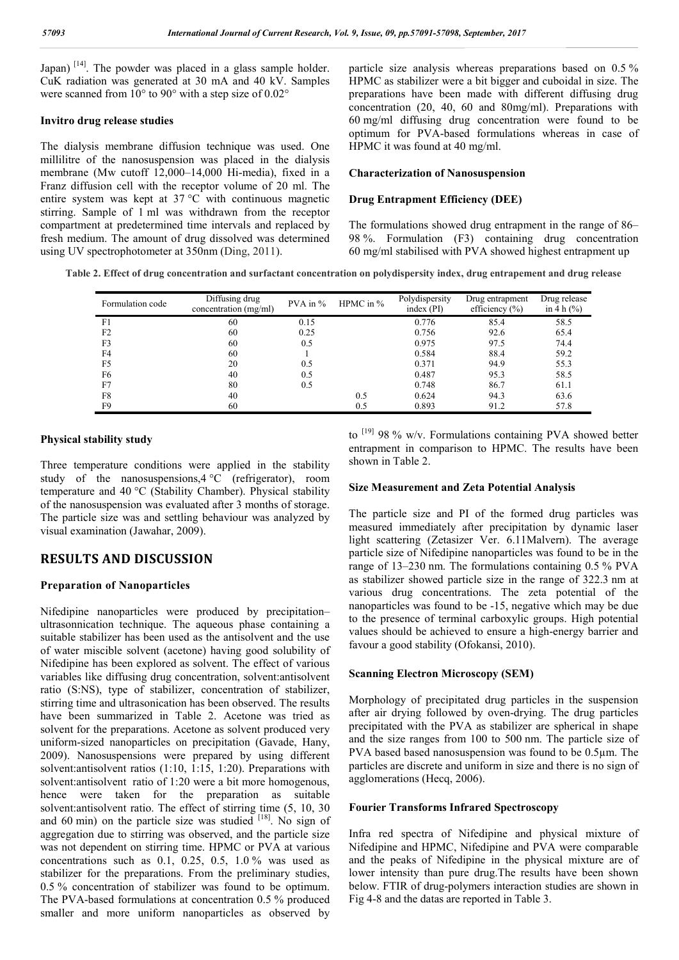Japan)  $[14]$ . The powder was placed in a glass sample holder. CuK radiation was generated at 30 mA and 40 kV. Samples were scanned from  $10^{\circ}$  to 90° with a step size of 0.02°

#### **Invitro drug release studies**

The dialysis membrane diffusion technique was used. One millilitre of the nanosuspension was placed in the dialysis membrane (Mw cutoff 12,000–14,000 Hi-media), fixed in a Franz diffusion cell with the receptor volume of 20 ml. The entire system was kept at 37 °C with continuous magnetic stirring. Sample of 1 ml was withdrawn from the receptor compartment at predetermined time intervals and replaced by fresh medium. The amount of drug dissolved was determined using UV spectrophotometer at 350nm (Ding, 2011).

particle size analysis whereas preparations based on 0.5 % HPMC as stabilizer were a bit bigger and cuboidal in size. The preparations have been made with different diffusing drug concentration (20, 40, 60 and 80mg/ml). Preparations with 60 mg/ml diffusing drug concentration were found to be optimum for PVA-based formulations whereas in case of HPMC it was found at 40 mg/ml.

#### **Characterization of Nanosuspension**

#### **Drug Entrapment Efficiency (DEE)**

The formulations showed drug entrapment in the range of 86– 98 %. Formulation (F3) containing drug concentration 60 mg/ml stabilised with PVA showed highest entrapment up

**Table 2. Effect of drug concentration and surfactant concentration on polydispersity index, drug entrapement and drug release**

| Formulation code | Diffusing drug<br>concentration (mg/ml) | $PVA$ in $%$ | HPMC in $%$ | Polydispersity<br>index $(PI)$ | Drug entrapment<br>efficiency $(\% )$ | Drug release<br>in 4 h $(\% )$ |
|------------------|-----------------------------------------|--------------|-------------|--------------------------------|---------------------------------------|--------------------------------|
| F1               | 60                                      | 0.15         |             | 0.776                          | 85.4                                  | 58.5                           |
| F <sub>2</sub>   | 60                                      | 0.25         |             | 0.756                          | 92.6                                  | 65.4                           |
| F <sub>3</sub>   | 60                                      | 0.5          |             | 0.975                          | 97.5                                  | 74.4                           |
| F4               | 60                                      |              |             | 0.584                          | 88.4                                  | 59.2                           |
| F <sub>5</sub>   | 20                                      | 0.5          |             | 0.371                          | 94.9                                  | 55.3                           |
| F6               | 40                                      | 0.5          |             | 0.487                          | 95.3                                  | 58.5                           |
| F7               | 80                                      | 0.5          |             | 0.748                          | 86.7                                  | 61.1                           |
| F8               | 40                                      |              | 0.5         | 0.624                          | 94.3                                  | 63.6                           |
| F9               | 60                                      |              | 0.5         | 0.893                          | 91.2                                  | 57.8                           |

#### **Physical stability study**

Three temperature conditions were applied in the stability study of the nanosuspensions,4 °C (refrigerator), room temperature and 40 °C (Stability Chamber). Physical stability of the nanosuspension was evaluated after 3 months of storage. The particle size was and settling behaviour was analyzed by visual examination (Jawahar, 2009).

# **RESULTS AND DISCUSSION**

#### **Preparation of Nanoparticles**

Nifedipine nanoparticles were produced by precipitation– ultrasonnication technique. The aqueous phase containing a suitable stabilizer has been used as the antisolvent and the use of water miscible solvent (acetone) having good solubility of Nifedipine has been explored as solvent. The effect of various variables like diffusing drug concentration, solvent:antisolvent ratio (S:NS), type of stabilizer, concentration of stabilizer, stirring time and ultrasonication has been observed. The results have been summarized in Table 2. Acetone was tried as solvent for the preparations. Acetone as solvent produced very uniform-sized nanoparticles on precipitation (Gavade, Hany, 2009). Nanosuspensions were prepared by using different solvent:antisolvent ratios (1:10, 1:15, 1:20). Preparations with solvent:antisolvent ratio of 1:20 were a bit more homogenous, hence were taken for the preparation as suitable solvent:antisolvent ratio. The effect of stirring time (5, 10, 30 and 60 min) on the particle size was studied  $[18]$ . No sign of aggregation due to stirring was observed, and the particle size was not dependent on stirring time. HPMC or PVA at various concentrations such as  $0.1$ ,  $0.25$ ,  $0.5$ ,  $1.0\%$  was used as stabilizer for the preparations. From the preliminary studies, 0.5 % concentration of stabilizer was found to be optimum. The PVA-based formulations at concentration 0.5 % produced smaller and more uniform nanoparticles as observed by

to  $[19]$  98 % w/v. Formulations containing PVA showed better entrapment in comparison to HPMC. The results have been shown in Table 2.

#### **Size Measurement and Zeta Potential Analysis**

The particle size and PI of the formed drug particles was measured immediately after precipitation by dynamic laser light scattering (Zetasizer Ver. 6.11Malvern). The average particle size of Nifedipine nanoparticles was found to be in the range of 13–230 nm. The formulations containing 0.5 % PVA as stabilizer showed particle size in the range of 322.3 nm at various drug concentrations. The zeta potential of the nanoparticles was found to be -15, negative which may be due to the presence of terminal carboxylic groups. High potential values should be achieved to ensure a high-energy barrier and favour a good stability (Ofokansi, 2010).

#### **Scanning Electron Microscopy (SEM)**

Morphology of precipitated drug particles in the suspension after air drying followed by oven-drying. The drug particles precipitated with the PVA as stabilizer are spherical in shape and the size ranges from 100 to 500 nm. The particle size of PVA based based nanosuspension was found to be 0.5µm. The particles are discrete and uniform in size and there is no sign of agglomerations (Hecq, 2006).

## **Fourier Transforms Infrared Spectroscopy**

Infra red spectra of Nifedipine and physical mixture of Nifedipine and HPMC, Nifedipine and PVA were comparable and the peaks of Nifedipine in the physical mixture are of lower intensity than pure drug.The results have been shown below. FTIR of drug-polymers interaction studies are shown in Fig 4-8 and the datas are reported in Table 3.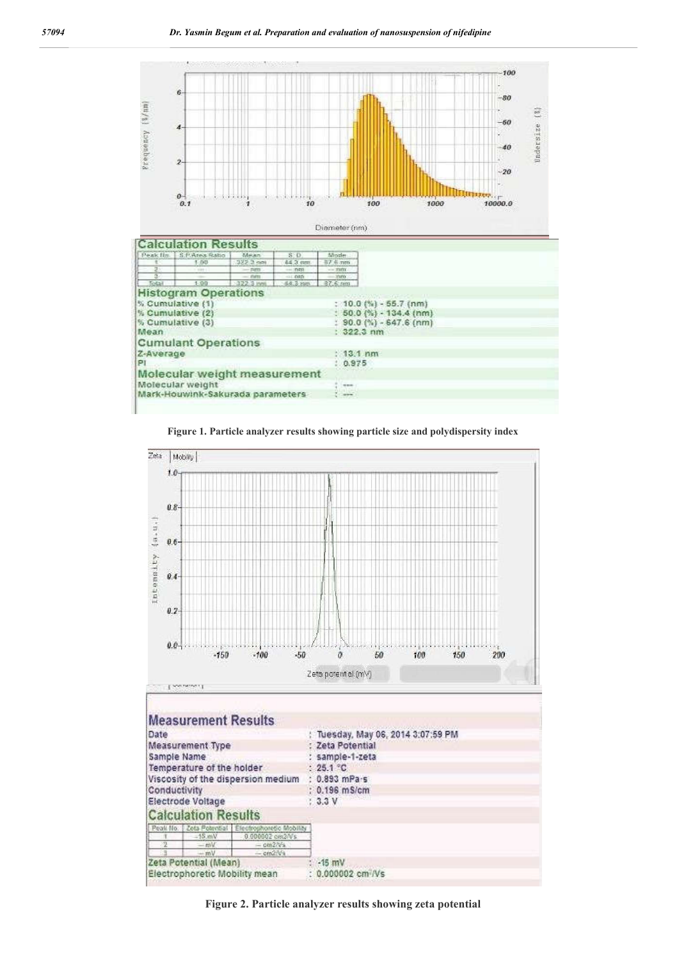

**Figure 1. Particle analyzer results showing particle size and polydispersity index**



**Figure 2. Particle analyzer results showing zeta potential**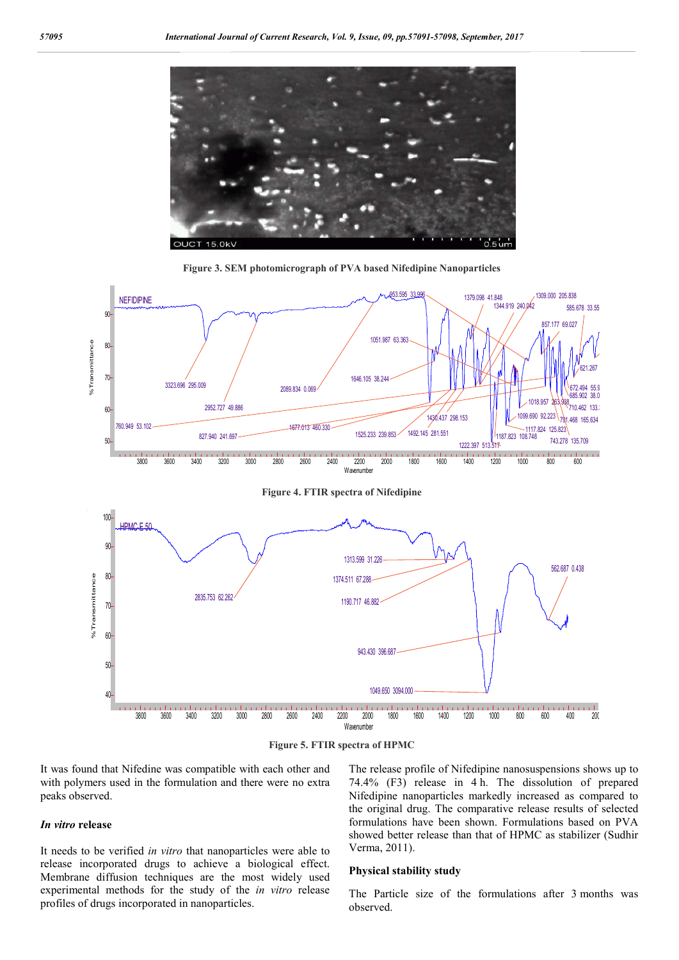

**Figure 3. SEM photomicrograph of PVA based Nifedipine Nanoparticles**





It was found that Nifedine was compatible with each other and with polymers used in the formulation and there were no extra peaks observed.

#### *In vitro* **release**

It needs to be verified *in vitro* that nanoparticles were able to release incorporated drugs to achieve a biological effect. Membrane diffusion techniques are the most widely used experimental methods for the study of the *in vitro* release profiles of drugs incorporated in nanoparticles.

The release profile of Nifedipine nanosuspensions shows up to 74.4% (F3) release in 4 h. The dissolution of prepared Nifedipine nanoparticles markedly increased as compared to the original drug. The comparative release results of selected formulations have been shown. Formulations based on PVA showed better release than that of HPMC as stabilizer (Sudhir Verma, 2011).

# **Physical stability study**

The Particle size of the formulations after 3 months was observed.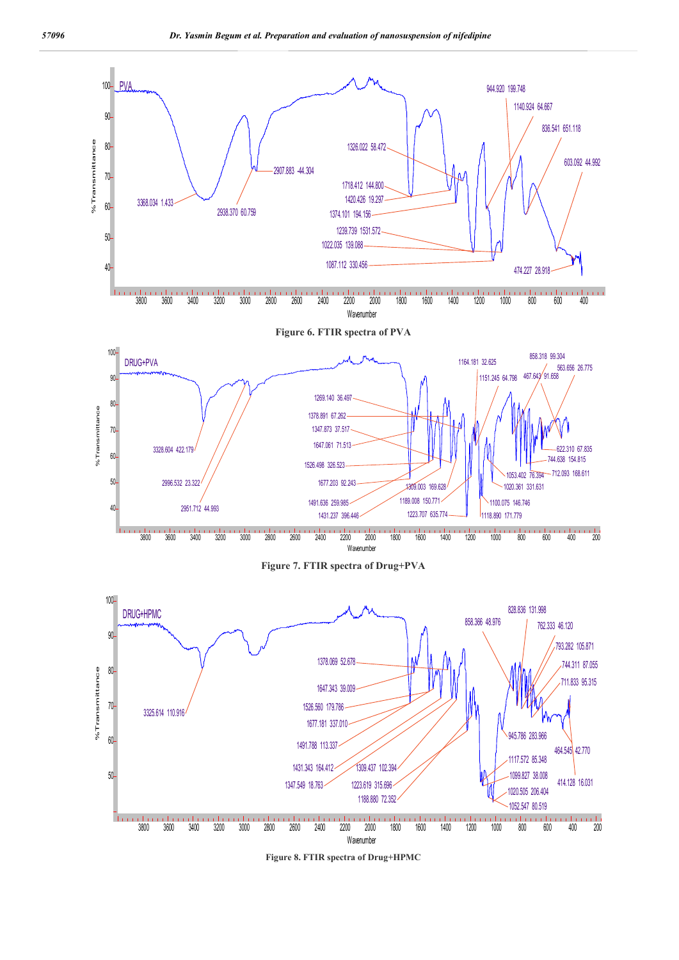

**Figure 8. FTIR spectra of Drug+HPMC**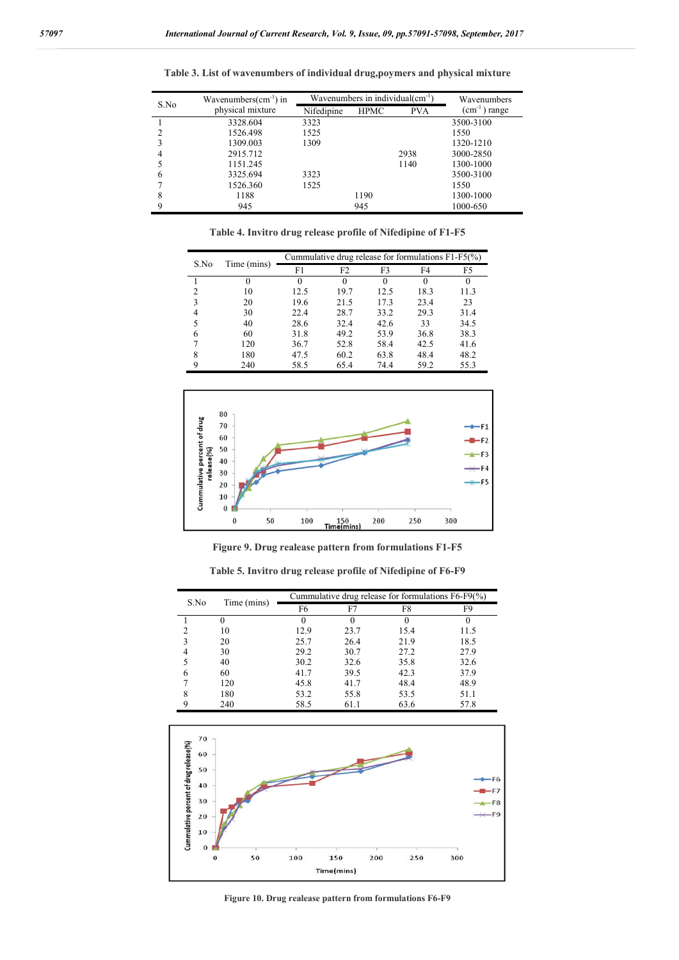| S.No | Wavenumbers $(cm-1)$ in | Wavenumbers in individual $\text{(cm}^{-1})$ | Wavenumbers |            |                |
|------|-------------------------|----------------------------------------------|-------------|------------|----------------|
|      | physical mixture        | Nifedipine                                   | <b>HPMC</b> | <b>PVA</b> | $(cm-1)$ range |
|      | 3328.604                | 3323                                         |             |            | 3500-3100      |
|      | 1526.498                | 1525                                         |             |            | 1550           |
|      | 1309.003                | 1309                                         |             |            | 1320-1210      |
|      | 2915.712                |                                              |             | 2938       | 3000-2850      |
|      | 1151.245                |                                              |             | 1140       | 1300-1000      |
| 6    | 3325.694                | 3323                                         |             |            | 3500-3100      |
|      | 1526.360                | 1525                                         |             |            | 1550           |
| 8    | 1188                    |                                              | 1190        |            | 1300-1000      |
|      | 945                     |                                              | 945         |            | 1000-650       |

**Table 3. List of wavenumbers of individual drug,poymers and physical mixture**

|                     |     | Cummulative drug release for formulations $F1-F5(\%)$ |      |      |          |                |  |  |
|---------------------|-----|-------------------------------------------------------|------|------|----------|----------------|--|--|
| S.No<br>Time (mins) |     | F1                                                    | F2   | F3   | F4       | F <sub>5</sub> |  |  |
|                     |     | $_{0}$                                                |      |      | $\theta$ | $\theta$       |  |  |
|                     | 10  | 12.5                                                  | 19.7 | 12.5 | 18.3     | 11.3           |  |  |
| 3                   | 20  | 19.6                                                  | 21.5 | 17.3 | 23.4     | 23             |  |  |
|                     | 30  | 22.4                                                  | 28.7 | 33.2 | 29.3     | 31.4           |  |  |
|                     | 40  | 28.6                                                  | 32.4 | 42.6 | 33       | 34.5           |  |  |
| 6                   | 60  | 31.8                                                  | 49.2 | 53.9 | 36.8     | 38.3           |  |  |
|                     | 120 | 36.7                                                  | 52.8 | 58.4 | 42.5     | 41.6           |  |  |
| 8                   | 180 | 47.5                                                  | 60.2 | 63.8 | 48.4     | 48.2           |  |  |
|                     | 240 | 58.5                                                  | 65.4 | 74.4 | 59.2     | 55.3           |  |  |

**Table 4. Invitro drug release profile of Nifedipine of F1-F5**

Cummulative percent of drug<br>release(%)  $-F1$  $-F2$ F<sub>3</sub>  $-F4$ -E5  $\bf{0}$  $\pmb{0}$  $\frac{150}{\text{Time}(\text{mins})}$ 

**Figure 9. Drug realease pattern from formulations F1-F5**

**Table 5. Invitro drug release profile of Nifedipine of F6-F9**

| S.No |             | Cummulative drug release for formulations F6-F9(%) |      |      |      |  |  |
|------|-------------|----------------------------------------------------|------|------|------|--|--|
|      | Time (mins) | F6                                                 | F7   | F8   | F9   |  |  |
|      |             |                                                    |      |      |      |  |  |
| າ    | 10          | 12.9                                               | 23.7 | 15.4 | 11.5 |  |  |
| 3    | 20          | 25.7                                               | 26.4 | 21.9 | 18.5 |  |  |
|      | 30          | 29.2                                               | 30.7 | 27.2 | 27.9 |  |  |
|      | 40          | 30.2                                               | 32.6 | 35.8 | 32.6 |  |  |
| 6    | 60          | 41.7                                               | 39.5 | 42.3 | 37.9 |  |  |
|      | 120         | 45.8                                               | 41.7 | 48.4 | 48.9 |  |  |
| 8    | 180         | 53.2                                               | 55.8 | 53.5 | 51.1 |  |  |
| 9    | 240         | 58.5                                               | 61.1 | 63.6 | 57.8 |  |  |



**Figure 10. Drug realease pattern from formulations F6-F9**